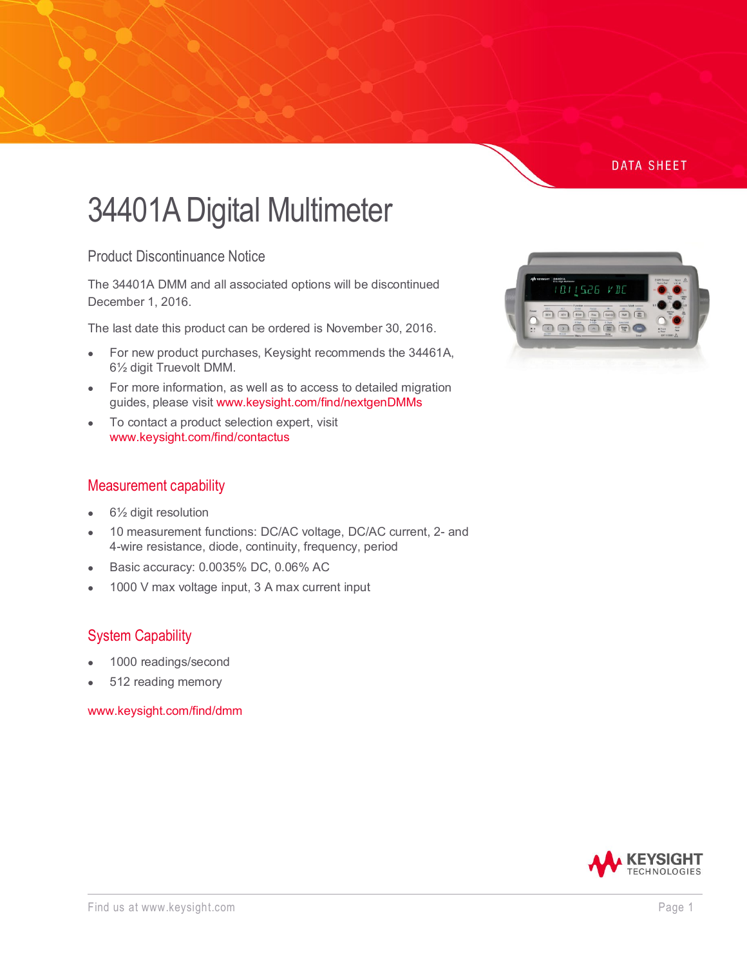# **DATA SHEET**

# 34401A Digital Multimeter

Product Discontinuance Notice

The 34401A DMM and all associated options will be discontinued December 1, 2016.

The last date this product can be ordered is November 30, 2016.

- For new product purchases, Keysight recommends the 34461A, 6½ digit Truevolt DMM.
- For more information, as well as to access to detailed migration guides, please visit [www.keysight.com/find/nextgenDMMs](http://www.keysight.com/find/nextgenDMMs)
- To contact a product selection expert, visit [www.keysight.com/find/contactus](http://www.keysight.com/find/contactus)

#### Measurement capability

- $6\frac{1}{2}$  digit resolution
- 10 measurement functions: DC/AC voltage, DC/AC current, 2- and 4-wire resistance, diode, continuity, frequency, period
- Basic accuracy: 0.0035% DC, 0.06% AC
- 1000 V max voltage input, 3 A max current input

# System Capability

- 1000 readings/second
- 512 reading memory

[www.keysight.com/find/dmm](http://www.keysight.com/find/dmm)



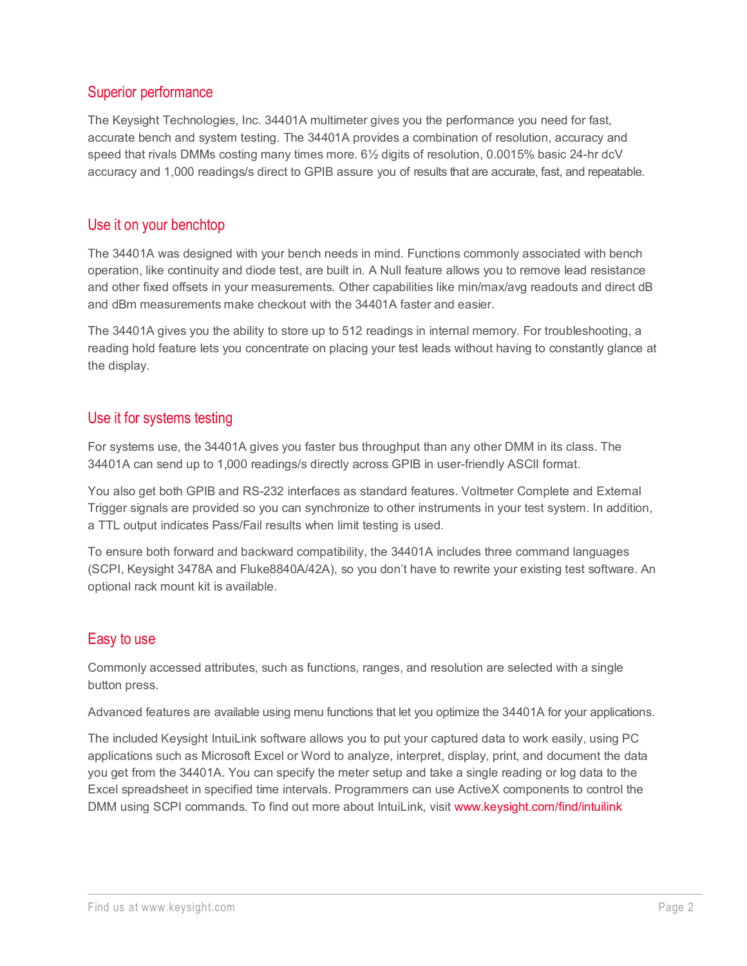# Superior performance

The Keysight Technologies, Inc. 34401A multimeter gives you the performance you need for fast, accurate bench and system testing. The 34401A provides a combination of resolution, accuracy and speed that rivals DMMs costing many times more. 6½ digits of resolution, 0.0015% basic 24-hr dcV accuracy and 1,000 readings/s direct to GPIB assure you of results that are accurate, fast, and repeatable.

# Use it on your benchtop

The 34401A was designed with your bench needs in mind. Functions commonly associated with bench operation, like continuity and diode test, are built in. A Null feature allows you to remove lead resistance and other fixed offsets in your measurements. Other capabilities like min/max/avg readouts and direct dB and dBm measurements make checkout with the 34401A faster and easier.

The 34401A gives you the ability to store up to 512 readings in internal memory. For troubleshooting, a reading hold feature lets you concentrate on placing your test leads without having to constantly glance at the display.

# Use it for systems testing

For systems use, the 34401A gives you faster bus throughput than any other DMM in its class. The 34401A can send up to 1,000 readings/s directly across GPIB in user-friendly ASCII format.

You also get both GPIB and RS-232 interfaces as standard features. Voltmeter Complete and External Trigger signals are provided so you can synchronize to other instruments in your test system. In addition, a TTL output indicates Pass/Fail results when limit testing is used.

To ensure both forward and backward compatibility, the 34401A includes three command languages (SCPI, Keysight 3478A and Fluke8840A/42A), so you don't have to rewrite your existing test software. An optional rack mount kit is available.

# Easy to use

Commonly accessed attributes, such as functions, ranges, and resolution are selected with a single button press.

Advanced features are available using menu functions that let you optimize the 34401A for your applications.

The included Keysight IntuiLink software allows you to put your captured data to work easily, using PC applications such as Microsoft Excel or Word to analyze, interpret, display, print, and document the data you get from the 34401A. You can specify the meter setup and take a single reading or log data to the Excel spreadsheet in specified time intervals. Programmers can use ActiveX components to control the DMM using SCPI commands. To find out more about IntuiLink, visit [www.keysight.com/find/intuilink](http://www.keysight.com/find/intuilink)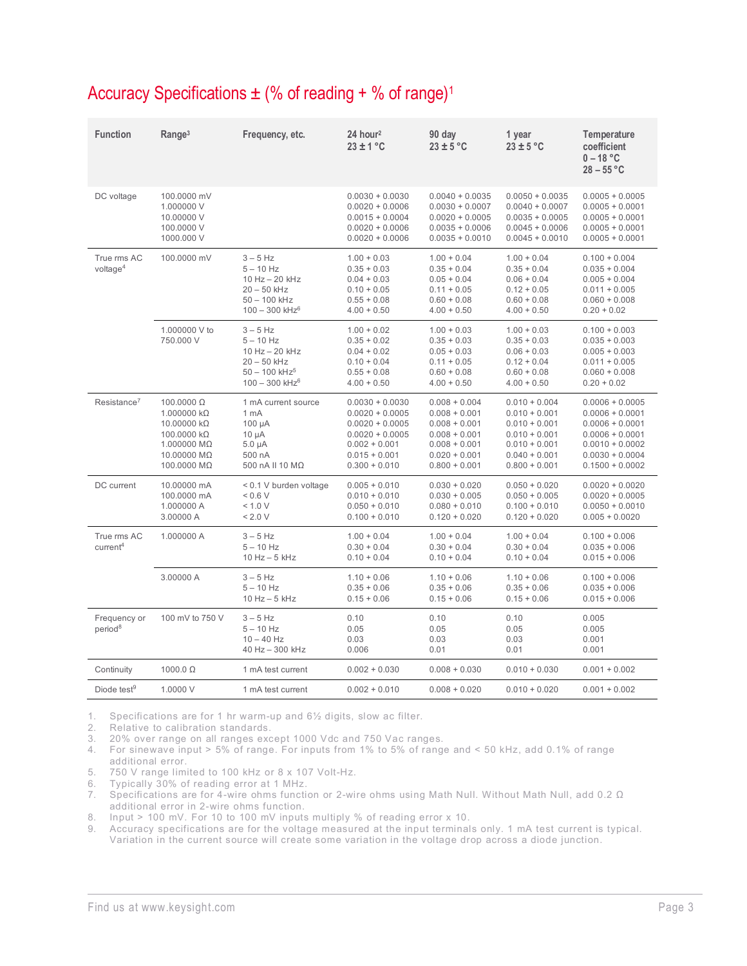| Accuracy Specifications $\pm$ (% of reading + % of range) <sup>1</sup> |  |
|------------------------------------------------------------------------|--|
|                                                                        |  |

| <b>Function</b>                     | Range <sup>3</sup>                                                                                                                       | Frequency, etc.                                                                                                             | 24 hour <sup>2</sup><br>$23 \pm 1$ °C                                                                                                     | 90 day<br>$23 \pm 5$ °C                                                                                                           | 1 year<br>$23 \pm 5$ °C                                                                                                           | Temperature<br>coefficient<br>$0 - 18 °C$<br>$28 - 55 °C$                                                                                       |
|-------------------------------------|------------------------------------------------------------------------------------------------------------------------------------------|-----------------------------------------------------------------------------------------------------------------------------|-------------------------------------------------------------------------------------------------------------------------------------------|-----------------------------------------------------------------------------------------------------------------------------------|-----------------------------------------------------------------------------------------------------------------------------------|-------------------------------------------------------------------------------------------------------------------------------------------------|
| DC voltage                          | 100.0000 mV<br>1.000000 V<br>10.00000 V<br>100.0000 V<br>1000.000 V                                                                      |                                                                                                                             | $0.0030 + 0.0030$<br>$0.0020 + 0.0006$<br>$0.0015 + 0.0004$<br>$0.0020 + 0.0006$<br>$0.0020 + 0.0006$                                     | $0.0040 + 0.0035$<br>$0.0030 + 0.0007$<br>$0.0020 + 0.0005$<br>$0.0035 + 0.0006$<br>$0.0035 + 0.0010$                             | $0.0050 + 0.0035$<br>$0.0040 + 0.0007$<br>$0.0035 + 0.0005$<br>$0.0045 + 0.0006$<br>$0.0045 + 0.0010$                             | $0.0005 + 0.0005$<br>$0.0005 + 0.0001$<br>$0.0005 + 0.0001$<br>$0.0005 + 0.0001$<br>$0.0005 + 0.0001$                                           |
| True rms AC<br>voltage <sup>4</sup> | 100.0000 mV                                                                                                                              | $3-5$ Hz<br>$5 - 10$ Hz<br>10 Hz - 20 kHz<br>$20 - 50$ kHz<br>$50 - 100$ kHz<br>$100 - 300$ kHz <sup>6</sup>                | $1.00 + 0.03$<br>$0.35 + 0.03$<br>$0.04 + 0.03$<br>$0.10 + 0.05$<br>$0.55 + 0.08$<br>$4.00 + 0.50$                                        | $1.00 + 0.04$<br>$0.35 + 0.04$<br>$0.05 + 0.04$<br>$0.11 + 0.05$<br>$0.60 + 0.08$<br>$4.00 + 0.50$                                | $1.00 + 0.04$<br>$0.35 + 0.04$<br>$0.06 + 0.04$<br>$0.12 + 0.05$<br>$0.60 + 0.08$<br>$4.00 + 0.50$                                | $0.100 + 0.004$<br>$0.035 + 0.004$<br>$0.005 + 0.004$<br>$0.011 + 0.005$<br>$0.060 + 0.008$<br>$0.20 + 0.02$                                    |
|                                     | 1.000000 V to<br>750.000 V                                                                                                               | $3 - 5$ Hz<br>$5 - 10$ Hz<br>10 Hz - 20 kHz<br>$20 - 50$ kHz<br>$50 - 100$ kHz <sup>5</sup><br>$100 - 300$ kHz <sup>6</sup> | $1.00 + 0.02$<br>$0.35 + 0.02$<br>$0.04 + 0.02$<br>$0.10 + 0.04$<br>$0.55 + 0.08$<br>$4.00 + 0.50$                                        | $1.00 + 0.03$<br>$0.35 + 0.03$<br>$0.05 + 0.03$<br>$0.11 + 0.05$<br>$0.60 + 0.08$<br>$4.00 + 0.50$                                | $1.00 + 0.03$<br>$0.35 + 0.03$<br>$0.06 + 0.03$<br>$0.12 + 0.04$<br>$0.60 + 0.08$<br>$4.00 + 0.50$                                | $0.100 + 0.003$<br>$0.035 + 0.003$<br>$0.005 + 0.003$<br>$0.011 + 0.005$<br>$0.060 + 0.008$<br>$0.20 + 0.02$                                    |
| Resistance <sup>7</sup>             | $100.0000 \Omega$<br>$1.000000$ k $\Omega$<br>$10.00000$ kΩ<br>$100.0000 k\Omega$<br>$1.000000$ M $\Omega$<br>10.00000 MΩ<br>100.0000 MΩ | 1 mA current source<br>1 mA<br>100 µA<br>$10 \mu A$<br>$5.0 \mu A$<br>500 nA<br>500 nA II 10 MΩ                             | $0.0030 + 0.0030$<br>$0.0020 + 0.0005$<br>$0.0020 + 0.0005$<br>$0.0020 + 0.0005$<br>$0.002 + 0.001$<br>$0.015 + 0.001$<br>$0.300 + 0.010$ | $0.008 + 0.004$<br>$0.008 + 0.001$<br>$0.008 + 0.001$<br>$0.008 + 0.001$<br>$0.008 + 0.001$<br>$0.020 + 0.001$<br>$0.800 + 0.001$ | $0.010 + 0.004$<br>$0.010 + 0.001$<br>$0.010 + 0.001$<br>$0.010 + 0.001$<br>$0.010 + 0.001$<br>$0.040 + 0.001$<br>$0.800 + 0.001$ | $0.0006 + 0.0005$<br>$0.0006 + 0.0001$<br>$0.0006 + 0.0001$<br>$0.0006 + 0.0001$<br>$0.0010 + 0.0002$<br>$0.0030 + 0.0004$<br>$0.1500 + 0.0002$ |
| DC current                          | 10.00000 mA<br>100.0000 mA<br>1.000000 A<br>3.00000 A                                                                                    | < 0.1 V burden voltage<br>< 0.6 V<br>< 1.0 V<br>< 2.0 V                                                                     | $0.005 + 0.010$<br>$0.010 + 0.010$<br>$0.050 + 0.010$<br>$0.100 + 0.010$                                                                  | $0.030 + 0.020$<br>$0.030 + 0.005$<br>$0.080 + 0.010$<br>$0.120 + 0.020$                                                          | $0.050 + 0.020$<br>$0.050 + 0.005$<br>$0.100 + 0.010$<br>$0.120 + 0.020$                                                          | $0.0020 + 0.0020$<br>$0.0020 + 0.0005$<br>$0.0050 + 0.0010$<br>$0.005 + 0.0020$                                                                 |
| True rms AC<br>current <sup>4</sup> | 1.000000 A                                                                                                                               | $3 - 5$ Hz<br>$5 - 10$ Hz<br>$10 Hz - 5 kHz$                                                                                | $1.00 + 0.04$<br>$0.30 + 0.04$<br>$0.10 + 0.04$                                                                                           | $1.00 + 0.04$<br>$0.30 + 0.04$<br>$0.10 + 0.04$                                                                                   | $1.00 + 0.04$<br>$0.30 + 0.04$<br>$0.10 + 0.04$                                                                                   | $0.100 + 0.006$<br>$0.035 + 0.006$<br>$0.015 + 0.006$                                                                                           |
|                                     | 3.00000 A                                                                                                                                | $3 - 5$ Hz<br>$5 - 10$ Hz<br>$10$ Hz $-$ 5 kHz                                                                              | $1.10 + 0.06$<br>$0.35 + 0.06$<br>$0.15 + 0.06$                                                                                           | $1.10 + 0.06$<br>$0.35 + 0.06$<br>$0.15 + 0.06$                                                                                   | $1.10 + 0.06$<br>$0.35 + 0.06$<br>$0.15 + 0.06$                                                                                   | $0.100 + 0.006$<br>$0.035 + 0.006$<br>$0.015 + 0.006$                                                                                           |
| Frequency or<br>period <sup>8</sup> | 100 mV to 750 V                                                                                                                          | $3 - 5$ Hz<br>$5 - 10$ Hz<br>$10 - 40$ Hz<br>40 Hz - 300 kHz                                                                | 0.10<br>0.05<br>0.03<br>0.006                                                                                                             | 0.10<br>0.05<br>0.03<br>0.01                                                                                                      | 0.10<br>0.05<br>0.03<br>0.01                                                                                                      | 0.005<br>0.005<br>0.001<br>0.001                                                                                                                |
| Continuity                          | $1000.0 \Omega$                                                                                                                          | 1 mA test current                                                                                                           | $0.002 + 0.030$                                                                                                                           | $0.008 + 0.030$                                                                                                                   | $0.010 + 0.030$                                                                                                                   | $0.001 + 0.002$                                                                                                                                 |
| Diode test $9$                      | 1.0000 V                                                                                                                                 | 1 mA test current                                                                                                           | $0.002 + 0.010$                                                                                                                           | $0.008 + 0.020$                                                                                                                   | $0.010 + 0.020$                                                                                                                   | $0.001 + 0.002$                                                                                                                                 |

1. Specifications are for 1 hr warm-up and  $6\frac{1}{2}$  digits, slow ac filter.<br>2. Relative to calibration standards.

Relative to calibration standards.

3. 20% over range on all ranges except 1000 Vdc and 750 Vac ranges.

4. For sinewave input > 5% of range. For inputs from 1% to 5% of range and < 50 kHz, add 0.1% of range additional error.

5. 750 V range limited to 100 kHz or 8 x 107 Volt-Hz.

6. Typically 30% of reading error at 1 MHz.

7. Specifications are for 4-wire ohms function or 2-wire ohms using Math Null. Without Math Null, add 0.2 Ω additional error in 2-wire ohms function.

8. Input > 100 mV. For 10 to 100 mV inputs multiply % of reading error x 10.<br>9. Accuracy specifications are for the voltage measured at the input terminal

9. Accuracy specifications are for the voltage measured at the input terminals only. 1 mA test current is typical. Variation in the current source will create some variation in the voltage drop across a diode junction.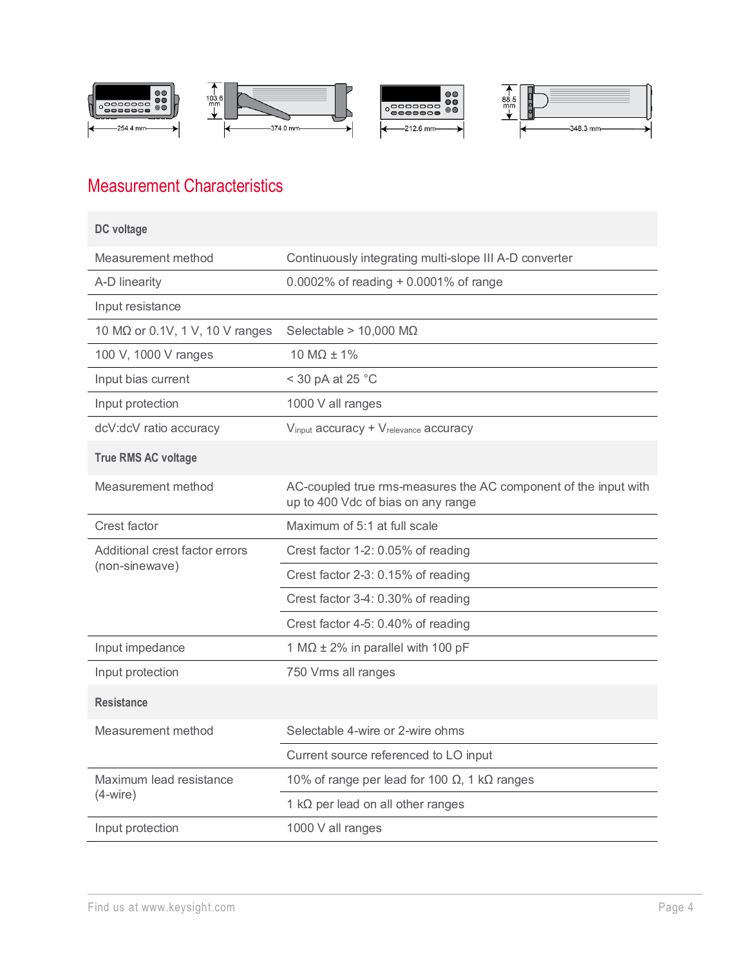

# Measurement Characteristics

| DC voltage                      |                                                                                                       |  |
|---------------------------------|-------------------------------------------------------------------------------------------------------|--|
| Measurement method              | Continuously integrating multi-slope III A-D converter                                                |  |
| A-D linearity                   | 0.0002% of reading + 0.0001% of range                                                                 |  |
| Input resistance                |                                                                                                       |  |
| 10 MΩ or 0.1V, 1 V, 10 V ranges | Selectable > $10,000$ M $\Omega$                                                                      |  |
| 100 V, 1000 V ranges            | 10 M $\Omega$ ± 1%                                                                                    |  |
| Input bias current              | < 30 pA at 25 °C                                                                                      |  |
| Input protection                | 1000 V all ranges                                                                                     |  |
| dcV:dcV ratio accuracy          | Vinput accuracy + Vrelevance accuracy                                                                 |  |
| <b>True RMS AC voltage</b>      |                                                                                                       |  |
| Measurement method              | AC-coupled true rms-measures the AC component of the input with<br>up to 400 Vdc of bias on any range |  |
| Crest factor                    | Maximum of 5:1 at full scale                                                                          |  |
| Additional crest factor errors  | Crest factor 1-2: 0.05% of reading                                                                    |  |
| (non-sinewave)                  | Crest factor 2-3: 0.15% of reading                                                                    |  |
|                                 | Crest factor 3-4: 0.30% of reading                                                                    |  |
|                                 | Crest factor 4-5: 0.40% of reading                                                                    |  |
| Input impedance                 | 1 M $\Omega$ ± 2% in parallel with 100 pF                                                             |  |
| Input protection                | 750 Vrms all ranges                                                                                   |  |
| <b>Resistance</b>               |                                                                                                       |  |
| Measurement method              | Selectable 4-wire or 2-wire ohms                                                                      |  |
|                                 | Current source referenced to LO input                                                                 |  |
| Maximum lead resistance         | 10% of range per lead for 100 $\Omega$ , 1 k $\Omega$ ranges                                          |  |
| $(4-wire)$                      | 1 $k\Omega$ per lead on all other ranges                                                              |  |
| Input protection                | 1000 V all ranges                                                                                     |  |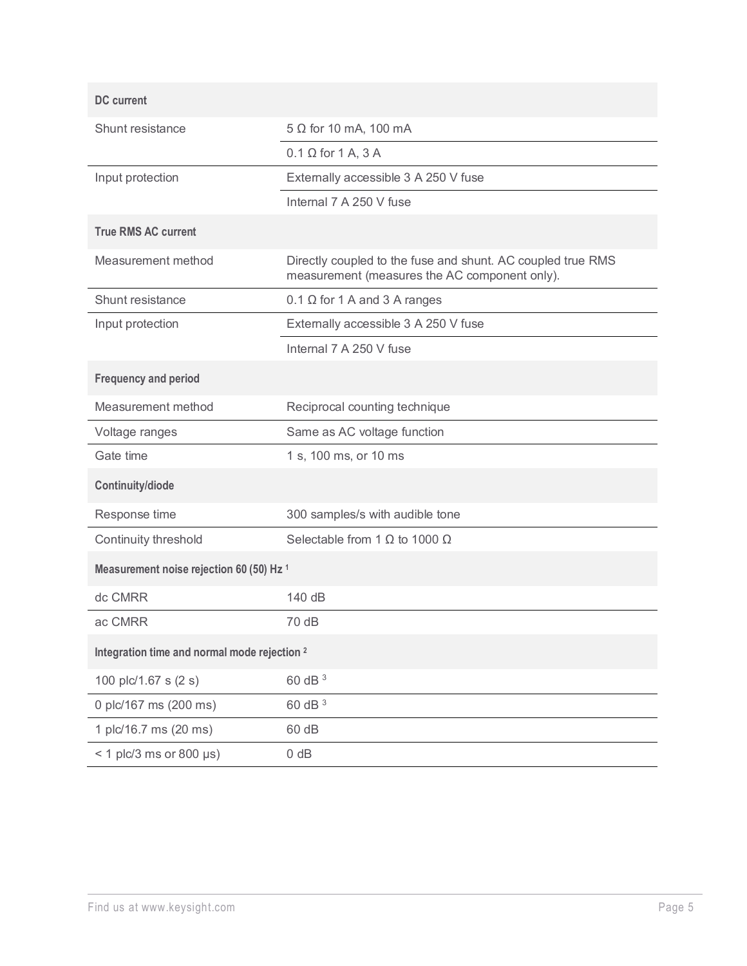| <b>DC</b> current                                   |                                                                                                              |
|-----------------------------------------------------|--------------------------------------------------------------------------------------------------------------|
| Shunt resistance                                    | $5 \Omega$ for 10 mA, 100 mA                                                                                 |
|                                                     | $0.1 \Omega$ for 1 A, 3 A                                                                                    |
| Input protection                                    | Externally accessible 3 A 250 V fuse                                                                         |
|                                                     | Internal 7 A 250 V fuse                                                                                      |
| <b>True RMS AC current</b>                          |                                                                                                              |
| Measurement method                                  | Directly coupled to the fuse and shunt. AC coupled true RMS<br>measurement (measures the AC component only). |
| Shunt resistance                                    | $0.1 \Omega$ for 1 A and 3 A ranges                                                                          |
| Input protection                                    | Externally accessible 3 A 250 V fuse                                                                         |
|                                                     | Internal 7 A 250 V fuse                                                                                      |
| <b>Frequency and period</b>                         |                                                                                                              |
| Measurement method                                  | Reciprocal counting technique                                                                                |
| Voltage ranges                                      | Same as AC voltage function                                                                                  |
| Gate time                                           | 1 s, 100 ms, or 10 ms                                                                                        |
| Continuity/diode                                    |                                                                                                              |
| Response time                                       | 300 samples/s with audible tone                                                                              |
| Continuity threshold                                | Selectable from 1 $\Omega$ to 1000 $\Omega$                                                                  |
| Measurement noise rejection 60 (50) Hz <sup>1</sup> |                                                                                                              |
| dc CMRR                                             | 140 dB                                                                                                       |
| ac CMRR                                             | 70 dB                                                                                                        |
| Integration time and normal mode rejection 2        |                                                                                                              |
| 100 plc/1.67 s (2 s)                                | 60 dB 3                                                                                                      |
| 0 plc/167 ms (200 ms)                               | 60 dB 3                                                                                                      |
| 1 plc/16.7 ms (20 ms)                               | 60 dB                                                                                                        |
| $<$ 1 plc/3 ms or 800 µs)                           | $0$ dB                                                                                                       |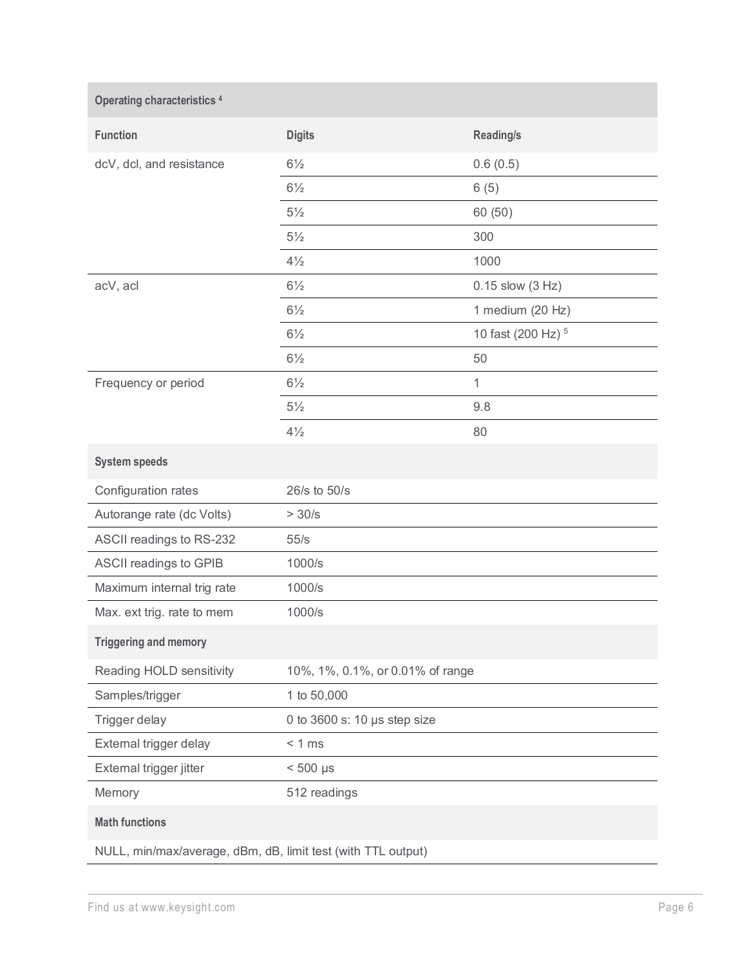| <b>Operating characteristics 4</b>                           |                                  |                               |
|--------------------------------------------------------------|----------------------------------|-------------------------------|
| <b>Function</b>                                              | <b>Digits</b>                    | <b>Reading/s</b>              |
| dcV, dcl, and resistance                                     | $6\frac{1}{2}$                   | 0.6(0.5)                      |
|                                                              | $6\frac{1}{2}$                   | 6(5)                          |
|                                                              | $5\frac{1}{2}$                   | 60 (50)                       |
|                                                              | $5\frac{1}{2}$                   | 300                           |
|                                                              | $4\frac{1}{2}$                   | 1000                          |
| acV, acl                                                     | $6\frac{1}{2}$                   | $0.15$ slow $(3 Hz)$          |
|                                                              | $6\frac{1}{2}$                   | 1 medium (20 Hz)              |
|                                                              | $6\frac{1}{2}$                   | 10 fast (200 Hz) <sup>5</sup> |
|                                                              | $6\frac{1}{2}$                   | 50                            |
| Frequency or period                                          | $6\frac{1}{2}$                   | 1                             |
|                                                              | $5\frac{1}{2}$                   | 9.8                           |
|                                                              | $4\frac{1}{2}$                   | 80                            |
| <b>System speeds</b>                                         |                                  |                               |
| Configuration rates                                          | 26/s to 50/s                     |                               |
| Autorange rate (dc Volts)                                    | >30/s                            |                               |
| ASCII readings to RS-232                                     | 55/s                             |                               |
| ASCII readings to GPIB                                       | 1000/s                           |                               |
| Maximum internal trig rate                                   | 1000/s                           |                               |
| Max. ext trig. rate to mem                                   | 1000/s                           |                               |
| <b>Triggering and memory</b>                                 |                                  |                               |
| Reading HOLD sensitivity                                     | 10%, 1%, 0.1%, or 0.01% of range |                               |
| Samples/trigger                                              | 1 to 50,000                      |                               |
| Trigger delay                                                | 0 to 3600 s: 10 µs step size     |                               |
| External trigger delay                                       | < 1 ms                           |                               |
| External trigger jitter                                      | $< 500$ µs                       |                               |
| Memory                                                       | 512 readings                     |                               |
| <b>Math functions</b>                                        |                                  |                               |
| NULL, min/max/average, dBm, dB, limit test (with TTL output) |                                  |                               |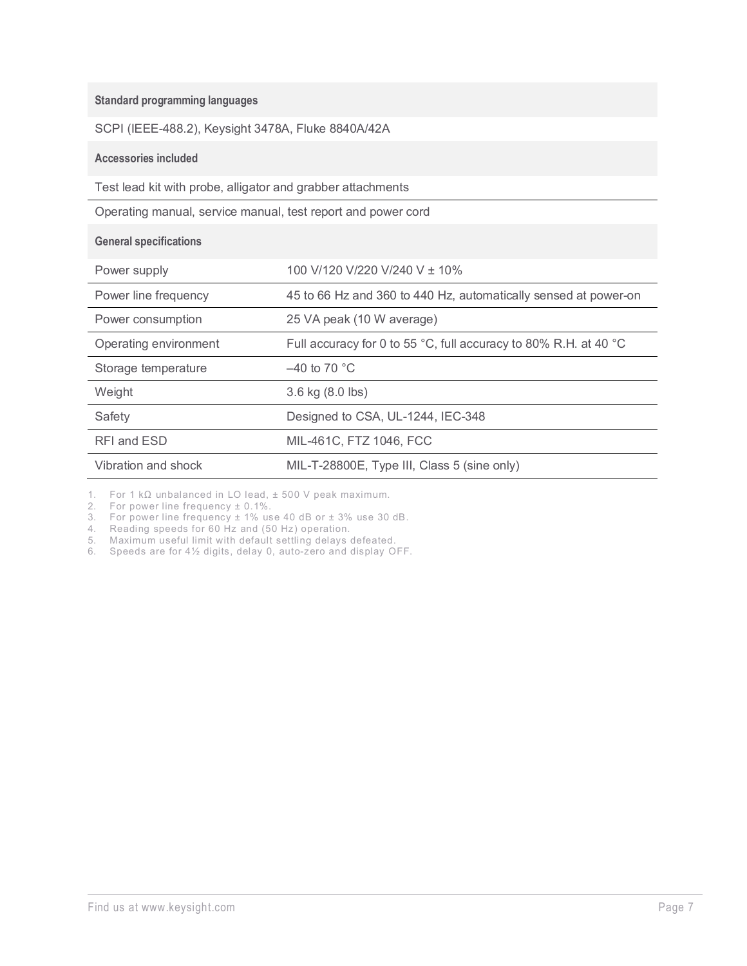| <b>Standard programming languages</b>                        |                                                                  |  |
|--------------------------------------------------------------|------------------------------------------------------------------|--|
| SCPI (IEEE-488.2), Keysight 3478A, Fluke 8840A/42A           |                                                                  |  |
| <b>Accessories included</b>                                  |                                                                  |  |
| Test lead kit with probe, alligator and grabber attachments  |                                                                  |  |
| Operating manual, service manual, test report and power cord |                                                                  |  |
| <b>General specifications</b>                                |                                                                  |  |
| Power supply                                                 | 100 V/120 V/220 V/240 V ± 10%                                    |  |
| Power line frequency                                         | 45 to 66 Hz and 360 to 440 Hz, automatically sensed at power-on  |  |
| Power consumption                                            | 25 VA peak (10 W average)                                        |  |
| Operating environment                                        | Full accuracy for 0 to 55 °C, full accuracy to 80% R.H. at 40 °C |  |
| Storage temperature                                          | $-40$ to 70 °C                                                   |  |
| Weight                                                       | 3.6 kg (8.0 lbs)                                                 |  |
| Safety                                                       | Designed to CSA, UL-1244, IEC-348                                |  |
| RFI and ESD                                                  | MIL-461C, FTZ 1046, FCC                                          |  |
| Vibration and shock                                          | MIL-T-28800E, Type III, Class 5 (sine only)                      |  |

1. For 1 kΩ unbalanced in LO lead, ± 500 V peak maximum.

2. For power line frequency ± 0.1%.

3. For power line frequency ± 1% use 40 dB or ± 3% use 30 dB.

4. Reading speeds for 60 Hz and (50 Hz) operation.

5. Maximum useful limit with default settling delays defeated.

6. Speeds are for 4½ digits, delay 0, auto-zero and display OFF.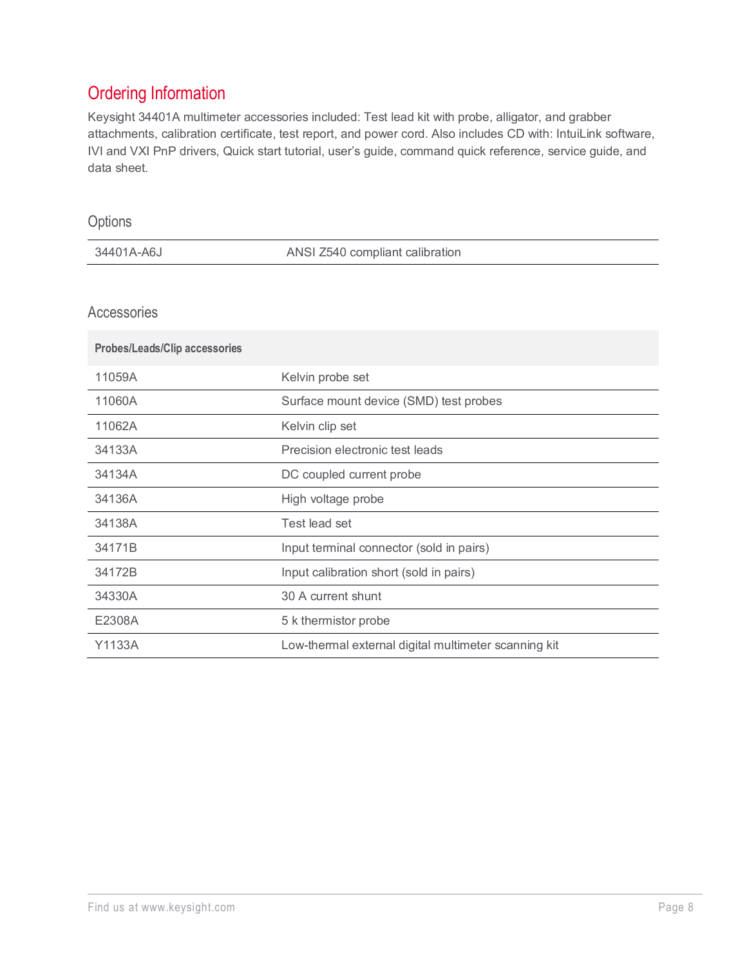# Ordering Information

Keysight 34401A multimeter accessories included: Test lead kit with probe, alligator, and grabber attachments, calibration certificate, test report, and power cord. Also includes CD with: IntuiLink software, IVI and VXI PnP drivers, Quick start tutorial, user's guide, command quick reference, service guide, and data sheet.

| Options                              |                                          |
|--------------------------------------|------------------------------------------|
| 34401A-A6J                           | ANSI Z540 compliant calibration          |
|                                      |                                          |
| Accessories                          |                                          |
| <b>Probes/Leads/Clip accessories</b> |                                          |
| 11059A                               | Kelvin probe set                         |
| 11060A                               | Surface mount device (SMD) test probes   |
| 11062A                               | Kelvin clip set                          |
| 34133A                               | Precision electronic test leads          |
| 34134A                               | DC coupled current probe                 |
| 34136A                               | High voltage probe                       |
| 34138A                               | Test lead set                            |
| 34171B                               | Input terminal connector (sold in pairs) |
| 34172B                               | Input calibration short (sold in pairs)  |
| 34330A                               | 30 A current shunt                       |
| E2308A                               | 5 k thermistor probe                     |

Y1133A Low-thermal external digital multimeter scanning kit